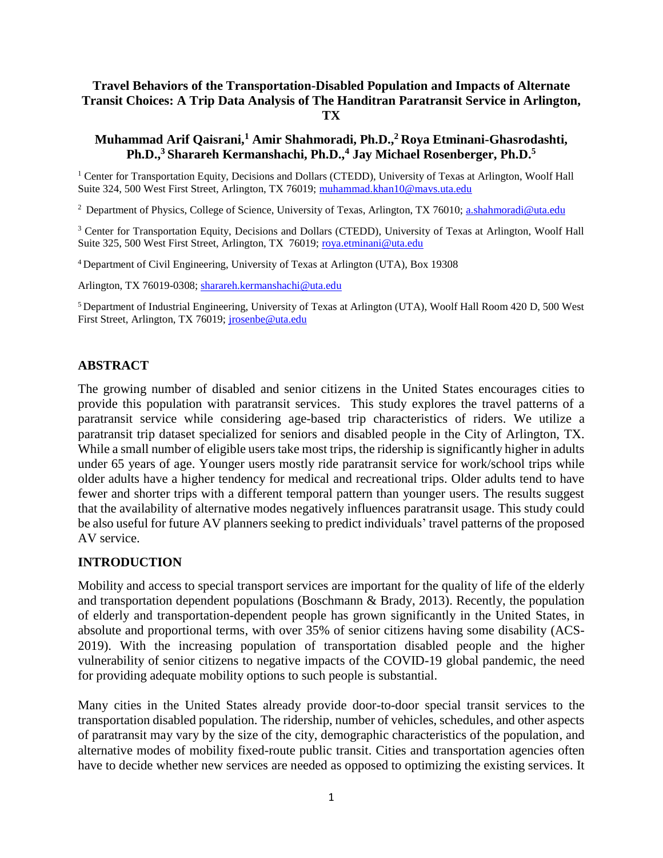### **Travel Behaviors of the Transportation-Disabled Population and Impacts of Alternate Transit Choices: A Trip Data Analysis of The Handitran Paratransit Service in Arlington, TX**

#### **Muhammad Arif Qaisrani,<sup>1</sup> Amir Shahmoradi, Ph.D.,<sup>2</sup>Roya Etminani-Ghasrodashti, Ph.D.,<sup>3</sup>Sharareh Kermanshachi, Ph.D.,<sup>4</sup> Jay Michael Rosenberger, Ph.D.<sup>5</sup>**

<sup>1</sup> Center for Transportation Equity, Decisions and Dollars (CTEDD), University of Texas at Arlington, Woolf Hall Suite 324, 500 West First Street, Arlington, TX 76019; [muhammad.khan10@mavs.uta.edu](mailto:muhammad.khan10@mavs.uta.edu)

<sup>2</sup> Department of Physics, College of Science, University of Texas, Arlington, TX 76010; [a.shahmoradi@uta.edu](mailto:a.shahmoradi@uta.edu)

<sup>3</sup> Center for Transportation Equity, Decisions and Dollars (CTEDD), University of Texas at Arlington, Woolf Hall Suite 325, 500 West First Street, Arlington, TX 76019; [roya.etminani@uta.edu](mailto:roya.etminani@uta.edu)

<sup>4</sup>Department of Civil Engineering, University of Texas at Arlington (UTA), Box 19308

Arlington, TX 76019-0308; [sharareh.kermanshachi@uta.edu](mailto:sharareh.kermanshachi@uta.edu)

<sup>5</sup>Department of Industrial Engineering, University of Texas at Arlington (UTA), Woolf Hall Room 420 D, 500 West First Street, Arlington, TX 76019; [jrosenbe@uta.edu](mailto:jrosenbe@uta.edu)

#### **ABSTRACT**

The growing number of disabled and senior citizens in the United States encourages cities to provide this population with paratransit services. This study explores the travel patterns of a paratransit service while considering age-based trip characteristics of riders. We utilize a paratransit trip dataset specialized for seniors and disabled people in the City of Arlington, TX. While a small number of eligible users take most trips, the ridership is significantly higher in adults under 65 years of age. Younger users mostly ride paratransit service for work/school trips while older adults have a higher tendency for medical and recreational trips. Older adults tend to have fewer and shorter trips with a different temporal pattern than younger users. The results suggest that the availability of alternative modes negatively influences paratransit usage. This study could be also useful for future AV planners seeking to predict individuals' travel patterns of the proposed AV service.

### **INTRODUCTION**

Mobility and access to special transport services are important for the quality of life of the elderly and transportation dependent populations (Boschmann & Brady, 2013). Recently, the population of elderly and transportation-dependent people has grown significantly in the United States, in absolute and proportional terms, with over 35% of senior citizens having some disability (ACS-2019). With the increasing population of transportation disabled people and the higher vulnerability of senior citizens to negative impacts of the COVID-19 global pandemic, the need for providing adequate mobility options to such people is substantial.

Many cities in the United States already provide door-to-door special transit services to the transportation disabled population. The ridership, number of vehicles, schedules, and other aspects of paratransit may vary by the size of the city, demographic characteristics of the population, and alternative modes of mobility fixed-route public transit. Cities and transportation agencies often have to decide whether new services are needed as opposed to optimizing the existing services. It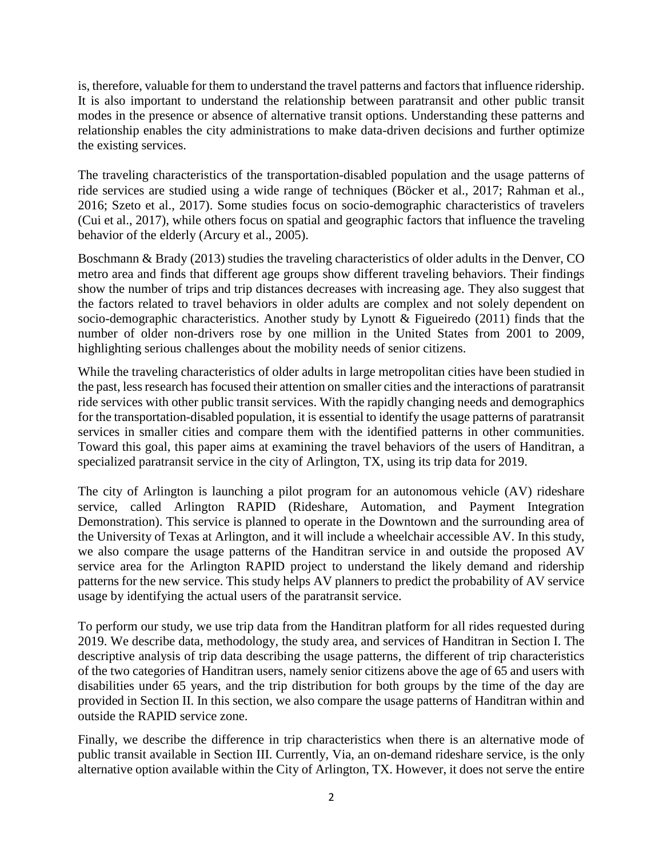is, therefore, valuable for them to understand the travel patterns and factors that influence ridership. It is also important to understand the relationship between paratransit and other public transit modes in the presence or absence of alternative transit options. Understanding these patterns and relationship enables the city administrations to make data-driven decisions and further optimize the existing services.

The traveling characteristics of the transportation-disabled population and the usage patterns of ride services are studied using a wide range of techniques (Böcker et al., 2017; Rahman et al., 2016; Szeto et al., 2017). Some studies focus on socio-demographic characteristics of travelers (Cui et al., 2017), while others focus on spatial and geographic factors that influence the traveling behavior of the elderly (Arcury et al., 2005).

Boschmann & Brady (2013) studies the traveling characteristics of older adults in the Denver, CO metro area and finds that different age groups show different traveling behaviors. Their findings show the number of trips and trip distances decreases with increasing age. They also suggest that the factors related to travel behaviors in older adults are complex and not solely dependent on socio-demographic characteristics. Another study by Lynott & Figueiredo (2011) finds that the number of older non-drivers rose by one million in the United States from 2001 to 2009, highlighting serious challenges about the mobility needs of senior citizens.

While the traveling characteristics of older adults in large metropolitan cities have been studied in the past, less research has focused their attention on smaller cities and the interactions of paratransit ride services with other public transit services. With the rapidly changing needs and demographics for the transportation-disabled population, it is essential to identify the usage patterns of paratransit services in smaller cities and compare them with the identified patterns in other communities. Toward this goal, this paper aims at examining the travel behaviors of the users of Handitran, a specialized paratransit service in the city of Arlington, TX, using its trip data for 2019.

The city of Arlington is launching a pilot program for an autonomous vehicle (AV) rideshare service, called Arlington RAPID (Rideshare, Automation, and Payment Integration Demonstration). This service is planned to operate in the Downtown and the surrounding area of the University of Texas at Arlington, and it will include a wheelchair accessible AV. In this study, we also compare the usage patterns of the Handitran service in and outside the proposed AV service area for the Arlington RAPID project to understand the likely demand and ridership patterns for the new service. This study helps AV planners to predict the probability of AV service usage by identifying the actual users of the paratransit service.

To perform our study, we use trip data from the Handitran platform for all rides requested during 2019. We describe data, methodology, the study area, and services of Handitran in Section I. The descriptive analysis of trip data describing the usage patterns, the different of trip characteristics of the two categories of Handitran users, namely senior citizens above the age of 65 and users with disabilities under 65 years, and the trip distribution for both groups by the time of the day are provided in Section II. In this section, we also compare the usage patterns of Handitran within and outside the RAPID service zone.

Finally, we describe the difference in trip characteristics when there is an alternative mode of public transit available in Section III. Currently, Via, an on-demand rideshare service, is the only alternative option available within the City of Arlington, TX. However, it does not serve the entire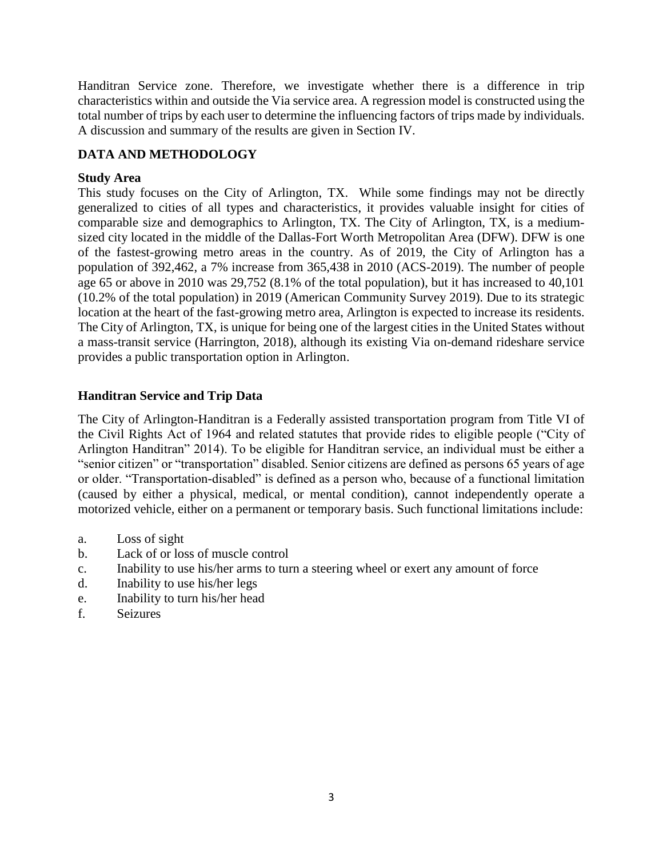Handitran Service zone. Therefore, we investigate whether there is a difference in trip characteristics within and outside the Via service area. A regression model is constructed using the total number of trips by each user to determine the influencing factors of trips made by individuals. A discussion and summary of the results are given in Section IV.

# **DATA AND METHODOLOGY**

## **Study Area**

This study focuses on the City of Arlington, TX. While some findings may not be directly generalized to cities of all types and characteristics, it provides valuable insight for cities of comparable size and demographics to Arlington, TX. The City of Arlington, TX, is a mediumsized city located in the middle of the Dallas-Fort Worth Metropolitan Area (DFW). DFW is one of the fastest-growing metro areas in the country. As of 2019, the City of Arlington has a population of 392,462, a 7% increase from 365,438 in 2010 (ACS-2019). The number of people age 65 or above in 2010 was 29,752 (8.1% of the total population), but it has increased to 40,101 (10.2% of the total population) in 2019 (American Community Survey 2019). Due to its strategic location at the heart of the fast-growing metro area, Arlington is expected to increase its residents. The City of Arlington, TX, is unique for being one of the largest cities in the United States without a mass-transit service (Harrington, 2018), although its existing Via on-demand rideshare service provides a public transportation option in Arlington.

## **Handitran Service and Trip Data**

The City of Arlington-Handitran is a Federally assisted transportation program from Title VI of the Civil Rights Act of 1964 and related statutes that provide rides to eligible people ("City of Arlington Handitran" 2014). To be eligible for Handitran service, an individual must be either a "senior citizen" or "transportation" disabled. Senior citizens are defined as persons 65 years of age or older. "Transportation-disabled" is defined as a person who, because of a functional limitation (caused by either a physical, medical, or mental condition), cannot independently operate a motorized vehicle, either on a permanent or temporary basis. Such functional limitations include:

- a. Loss of sight
- b. Lack of or loss of muscle control
- c. Inability to use his/her arms to turn a steering wheel or exert any amount of force
- d. Inability to use his/her legs
- e. Inability to turn his/her head
- f. Seizures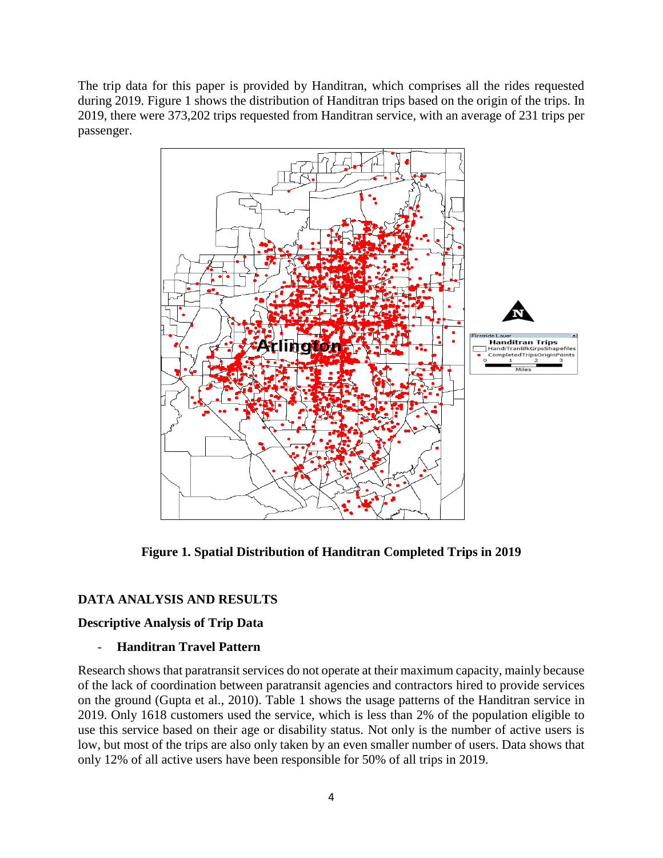The trip data for this paper is provided by Handitran, which comprises all the rides requested during 2019. Figure 1 shows the distribution of Handitran trips based on the origin of the trips. In 2019, there were 373,202 trips requested from Handitran service, with an average of 231 trips per passenger.



**Figure 1. Spatial Distribution of Handitran Completed Trips in 2019**

### **DATA ANALYSIS AND RESULTS**

### **Descriptive Analysis of Trip Data**

### - **Handitran Travel Pattern**

Research shows that paratransit services do not operate at their maximum capacity, mainly because of the lack of coordination between paratransit agencies and contractors hired to provide services on the ground (Gupta et al., 2010). Table 1 shows the usage patterns of the Handitran service in 2019. Only 1618 customers used the service, which is less than 2% of the population eligible to use this service based on their age or disability status. Not only is the number of active users is low, but most of the trips are also only taken by an even smaller number of users. Data shows that only 12% of all active users have been responsible for 50% of all trips in 2019.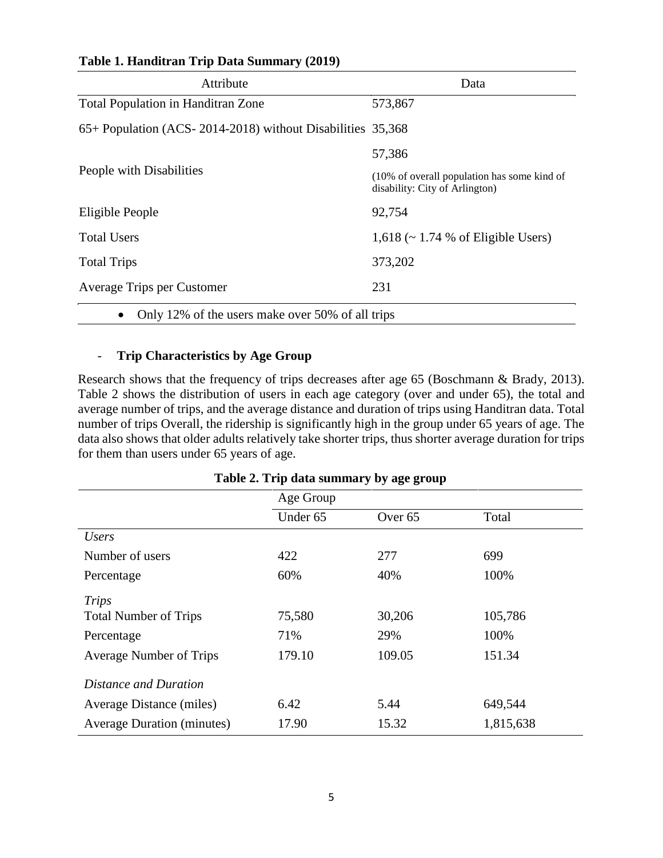| Attribute                                                     | Data                                                                          |
|---------------------------------------------------------------|-------------------------------------------------------------------------------|
| <b>Total Population in Handitran Zone</b>                     | 573,867                                                                       |
| 65+ Population (ACS-2014-2018) without Disabilities 35,368    |                                                                               |
|                                                               | 57,386                                                                        |
| People with Disabilities                                      | (10% of overall population has some kind of<br>disability: City of Arlington) |
| Eligible People                                               | 92,754                                                                        |
| <b>Total Users</b>                                            | $1,618 \rightarrow 1.74$ % of Eligible Users)                                 |
| <b>Total Trips</b>                                            | 373,202                                                                       |
| Average Trips per Customer                                    | 231                                                                           |
| Only 12% of the users make over 50% of all trips<br>$\bullet$ |                                                                               |

### **Table 1. Handitran Trip Data Summary (2019)**

### - **Trip Characteristics by Age Group**

Research shows that the frequency of trips decreases after age 65 (Boschmann & Brady, 2013). Table 2 shows the distribution of users in each age category (over and under 65), the total and average number of trips, and the average distance and duration of trips using Handitran data. Total number of trips Overall, the ridership is significantly high in the group under 65 years of age. The data also shows that older adults relatively take shorter trips, thus shorter average duration for trips for them than users under 65 years of age.

|                                   | Age Group |                    |           |
|-----------------------------------|-----------|--------------------|-----------|
|                                   | Under 65  | Over <sub>65</sub> | Total     |
| <i>Users</i>                      |           |                    |           |
| Number of users                   | 422       | 277                | 699       |
| Percentage                        | 60%       | 40%                | 100%      |
| <b>Trips</b>                      |           |                    |           |
| <b>Total Number of Trips</b>      | 75,580    | 30,206             | 105,786   |
| Percentage                        | 71%       | 29%                | 100%      |
| Average Number of Trips           | 179.10    | 109.05             | 151.34    |
| Distance and Duration             |           |                    |           |
| Average Distance (miles)          | 6.42      | 5.44               | 649,544   |
| <b>Average Duration (minutes)</b> | 17.90     | 15.32              | 1,815,638 |

### **Table 2. Trip data summary by age group**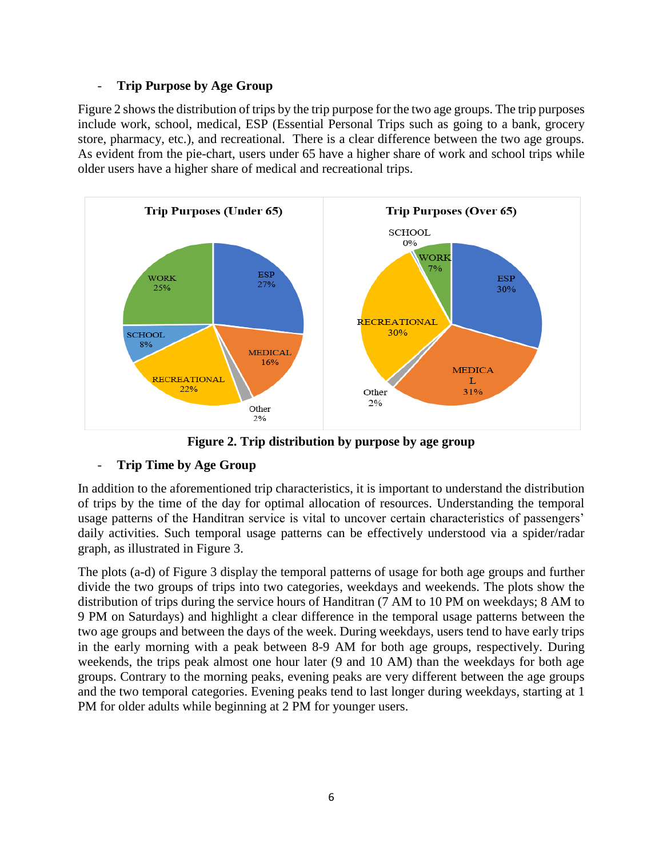### - **Trip Purpose by Age Group**

Figure 2 shows the distribution of trips by the trip purpose for the two age groups. The trip purposes include work, school, medical, ESP (Essential Personal Trips such as going to a bank, grocery store, pharmacy, etc.), and recreational. There is a clear difference between the two age groups. As evident from the pie-chart, users under 65 have a higher share of work and school trips while older users have a higher share of medical and recreational trips.



**Figure 2. Trip distribution by purpose by age group**

# - **Trip Time by Age Group**

In addition to the aforementioned trip characteristics, it is important to understand the distribution of trips by the time of the day for optimal allocation of resources. Understanding the temporal usage patterns of the Handitran service is vital to uncover certain characteristics of passengers' daily activities. Such temporal usage patterns can be effectively understood via a spider/radar graph, as illustrated in Figure 3.

The plots (a-d) of Figure 3 display the temporal patterns of usage for both age groups and further divide the two groups of trips into two categories, weekdays and weekends. The plots show the distribution of trips during the service hours of Handitran (7 AM to 10 PM on weekdays; 8 AM to 9 PM on Saturdays) and highlight a clear difference in the temporal usage patterns between the two age groups and between the days of the week. During weekdays, users tend to have early trips in the early morning with a peak between 8-9 AM for both age groups, respectively. During weekends, the trips peak almost one hour later (9 and 10 AM) than the weekdays for both age groups. Contrary to the morning peaks, evening peaks are very different between the age groups and the two temporal categories. Evening peaks tend to last longer during weekdays, starting at 1 PM for older adults while beginning at 2 PM for younger users.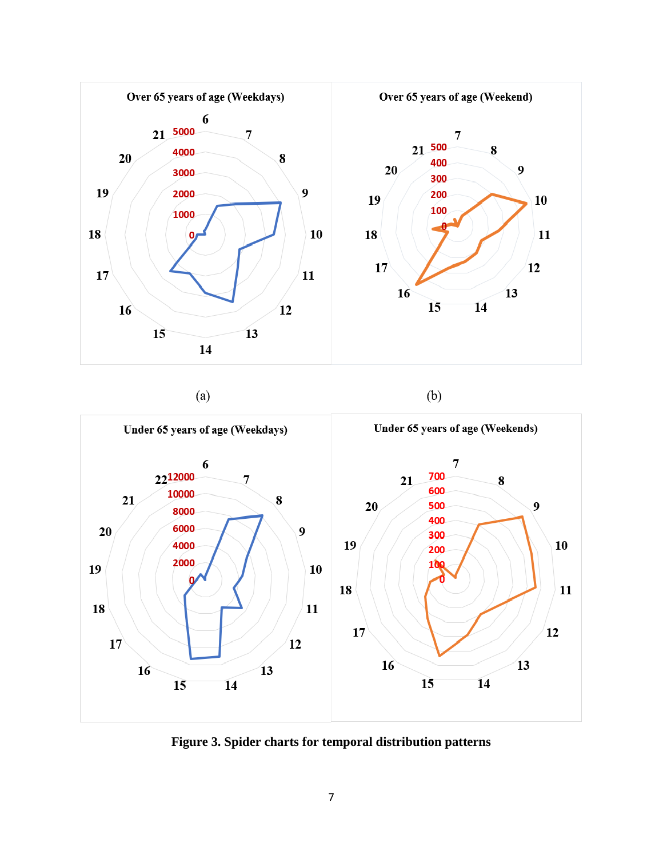

 $(a)$ 

 $(b)$ 



**Figure 3. Spider charts for temporal distribution patterns**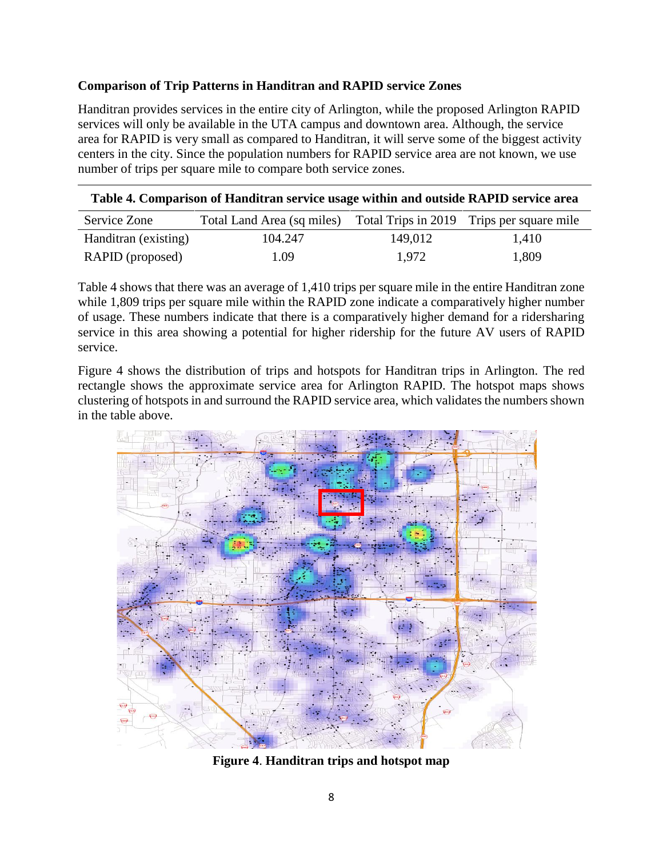### **Comparison of Trip Patterns in Handitran and RAPID service Zones**

Handitran provides services in the entire city of Arlington, while the proposed Arlington RAPID services will only be available in the UTA campus and downtown area. Although, the service area for RAPID is very small as compared to Handitran, it will serve some of the biggest activity centers in the city. Since the population numbers for RAPID service area are not known, we use number of trips per square mile to compare both service zones.

| Table 4. Comparison of Handitran service usage within and outside RAPID service area<br>Total Land Area (sq miles) Total Trips in 2019 Trips per square mile<br>Service Zone |          |         |       |
|------------------------------------------------------------------------------------------------------------------------------------------------------------------------------|----------|---------|-------|
|                                                                                                                                                                              |          |         |       |
| Handitran (existing)                                                                                                                                                         | 104.247  | 149.012 | 1,410 |
| RAPID (proposed)                                                                                                                                                             | $1.09-1$ | 1.972   | 1,809 |

Table 4 shows that there was an average of 1,410 trips per square mile in the entire Handitran zone while 1,809 trips per square mile within the RAPID zone indicate a comparatively higher number of usage. These numbers indicate that there is a comparatively higher demand for a ridersharing service in this area showing a potential for higher ridership for the future AV users of RAPID service.

Figure 4 shows the distribution of trips and hotspots for Handitran trips in Arlington. The red rectangle shows the approximate service area for Arlington RAPID. The hotspot maps shows clustering of hotspots in and surround the RAPID service area, which validates the numbers shown in the table above.

![](_page_7_Picture_5.jpeg)

**Figure 4**. **Handitran trips and hotspot map**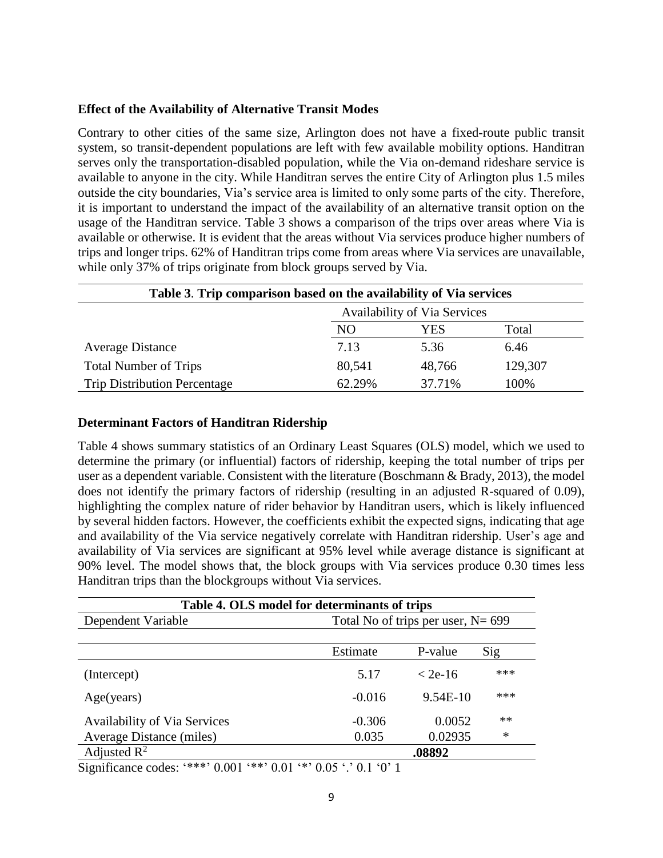#### **Effect of the Availability of Alternative Transit Modes**

Contrary to other cities of the same size, Arlington does not have a fixed-route public transit system, so transit-dependent populations are left with few available mobility options. Handitran serves only the transportation-disabled population, while the Via on-demand rideshare service is available to anyone in the city. While Handitran serves the entire City of Arlington plus 1.5 miles outside the city boundaries, Via's service area is limited to only some parts of the city. Therefore, it is important to understand the impact of the availability of an alternative transit option on the usage of the Handitran service. Table 3 shows a comparison of the trips over areas where Via is available or otherwise. It is evident that the areas without Via services produce higher numbers of trips and longer trips. 62% of Handitran trips come from areas where Via services are unavailable, while only 37% of trips originate from block groups served by Via.

| Table 3. Trip comparison based on the availability of Via services |                                     |        |         |
|--------------------------------------------------------------------|-------------------------------------|--------|---------|
|                                                                    | <b>Availability of Via Services</b> |        |         |
|                                                                    | NO                                  | YES    | Total   |
| <b>Average Distance</b>                                            | 7.13                                | 5.36   | 6.46    |
| <b>Total Number of Trips</b>                                       | 80,541                              | 48,766 | 129,307 |
| <b>Trip Distribution Percentage</b>                                | 62.29%                              | 37.71% | 100%    |

#### **Determinant Factors of Handitran Ridership**

Table 4 shows summary statistics of an Ordinary Least Squares (OLS) model, which we used to determine the primary (or influential) factors of ridership, keeping the total number of trips per user as a dependent variable. Consistent with the literature (Boschmann & Brady, 2013), the model does not identify the primary factors of ridership (resulting in an adjusted R-squared of 0.09), highlighting the complex nature of rider behavior by Handitran users, which is likely influenced by several hidden factors. However, the coefficients exhibit the expected signs, indicating that age and availability of the Via service negatively correlate with Handitran ridership. User's age and availability of Via services are significant at 95% level while average distance is significant at 90% level. The model shows that, the block groups with Via services produce 0.30 times less Handitran trips than the blockgroups without Via services.

| Table 4. OLS model for determinants of trips |          |                                       |        |  |  |
|----------------------------------------------|----------|---------------------------------------|--------|--|--|
| Dependent Variable                           |          | Total No of trips per user, $N = 699$ |        |  |  |
|                                              | Estimate | P-value                               | Sig    |  |  |
| (Intercept)                                  | 5.17     | $<$ 2e-16                             | ***    |  |  |
| Age(years)                                   | $-0.016$ | 9.54E-10                              | ***    |  |  |
| <b>Availability of Via Services</b>          | $-0.306$ | 0.0052                                | **     |  |  |
| Average Distance (miles)                     | 0.035    | 0.02935                               | $\ast$ |  |  |
| Adjusted $R^2$                               |          | .08892                                |        |  |  |

Significance codes: '\*\*\*' 0.001 '\*\*' 0.01 '\*' 0.05 '.' 0.1 '0' 1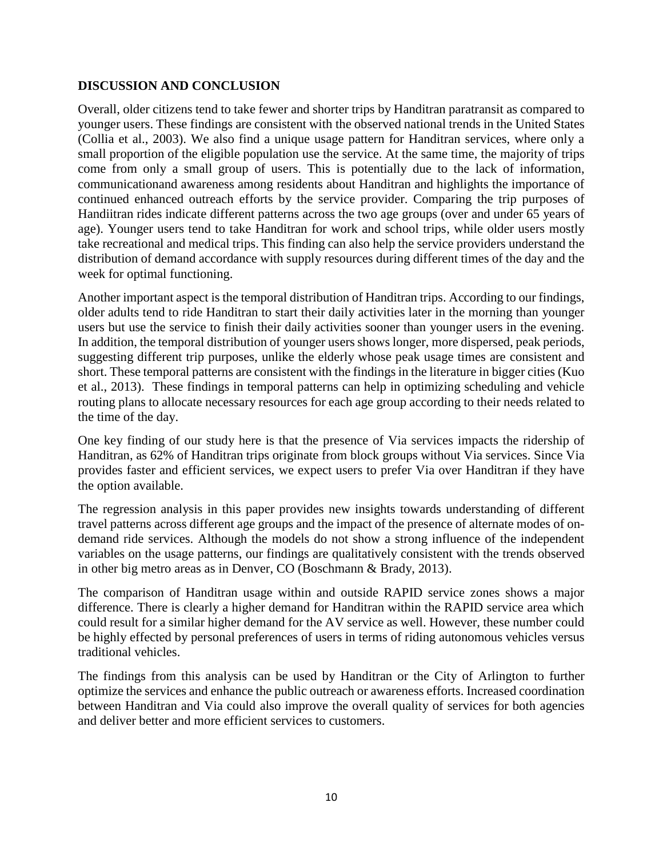### **DISCUSSION AND CONCLUSION**

Overall, older citizens tend to take fewer and shorter trips by Handitran paratransit as compared to younger users. These findings are consistent with the observed national trends in the United States (Collia et al., 2003). We also find a unique usage pattern for Handitran services, where only a small proportion of the eligible population use the service. At the same time, the majority of trips come from only a small group of users. This is potentially due to the lack of information, communicationand awareness among residents about Handitran and highlights the importance of continued enhanced outreach efforts by the service provider. Comparing the trip purposes of Handiitran rides indicate different patterns across the two age groups (over and under 65 years of age). Younger users tend to take Handitran for work and school trips, while older users mostly take recreational and medical trips. This finding can also help the service providers understand the distribution of demand accordance with supply resources during different times of the day and the week for optimal functioning.

Another important aspect is the temporal distribution of Handitran trips. According to our findings, older adults tend to ride Handitran to start their daily activities later in the morning than younger users but use the service to finish their daily activities sooner than younger users in the evening. In addition, the temporal distribution of younger users shows longer, more dispersed, peak periods, suggesting different trip purposes, unlike the elderly whose peak usage times are consistent and short. These temporal patterns are consistent with the findings in the literature in bigger cities (Kuo et al., 2013). These findings in temporal patterns can help in optimizing scheduling and vehicle routing plans to allocate necessary resources for each age group according to their needs related to the time of the day.

One key finding of our study here is that the presence of Via services impacts the ridership of Handitran, as 62% of Handitran trips originate from block groups without Via services. Since Via provides faster and efficient services, we expect users to prefer Via over Handitran if they have the option available.

The regression analysis in this paper provides new insights towards understanding of different travel patterns across different age groups and the impact of the presence of alternate modes of ondemand ride services. Although the models do not show a strong influence of the independent variables on the usage patterns, our findings are qualitatively consistent with the trends observed in other big metro areas as in Denver, CO (Boschmann & Brady, 2013).

The comparison of Handitran usage within and outside RAPID service zones shows a major difference. There is clearly a higher demand for Handitran within the RAPID service area which could result for a similar higher demand for the AV service as well. However, these number could be highly effected by personal preferences of users in terms of riding autonomous vehicles versus traditional vehicles.

The findings from this analysis can be used by Handitran or the City of Arlington to further optimize the services and enhance the public outreach or awareness efforts. Increased coordination between Handitran and Via could also improve the overall quality of services for both agencies and deliver better and more efficient services to customers.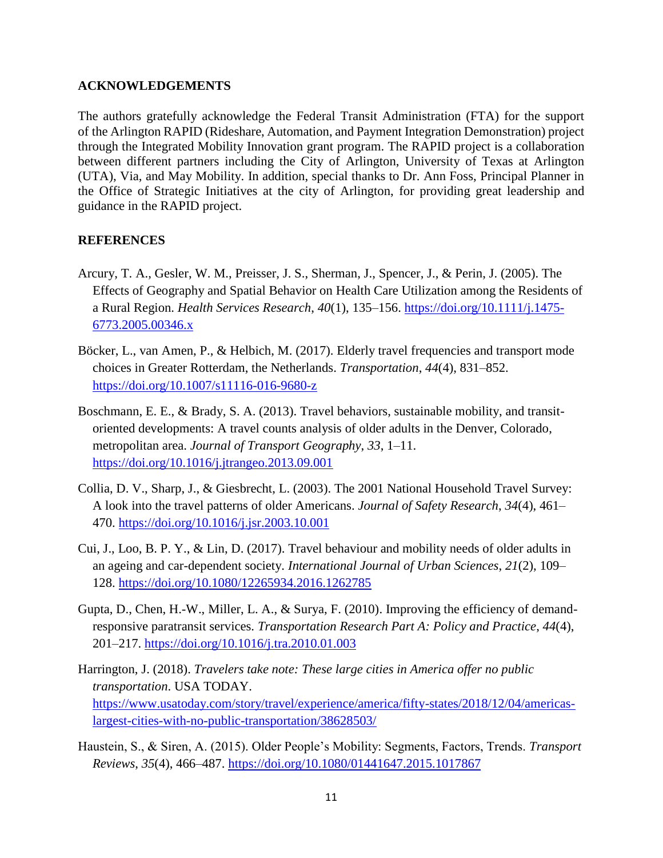#### **ACKNOWLEDGEMENTS**

The authors gratefully acknowledge the Federal Transit Administration (FTA) for the support of the Arlington RAPID (Rideshare, Automation, and Payment Integration Demonstration) project through the Integrated Mobility Innovation grant program. The RAPID project is a collaboration between different partners including the City of Arlington, University of Texas at Arlington (UTA), Via, and May Mobility. In addition, special thanks to Dr. Ann Foss, Principal Planner in the Office of Strategic Initiatives at the city of Arlington, for providing great leadership and guidance in the RAPID project.

### **REFERENCES**

- Arcury, T. A., Gesler, W. M., Preisser, J. S., Sherman, J., Spencer, J., & Perin, J. (2005). The Effects of Geography and Spatial Behavior on Health Care Utilization among the Residents of a Rural Region. *Health Services Research*, *40*(1), 135–156. [https://doi.org/10.1111/j.1475-](https://doi.org/10.1111/j.1475-6773.2005.00346.x) [6773.2005.00346.x](https://doi.org/10.1111/j.1475-6773.2005.00346.x)
- Böcker, L., van Amen, P., & Helbich, M. (2017). Elderly travel frequencies and transport mode choices in Greater Rotterdam, the Netherlands. *Transportation*, *44*(4), 831–852. <https://doi.org/10.1007/s11116-016-9680-z>
- Boschmann, E. E., & Brady, S. A. (2013). Travel behaviors, sustainable mobility, and transitoriented developments: A travel counts analysis of older adults in the Denver, Colorado, metropolitan area. *Journal of Transport Geography*, *33*, 1–11. <https://doi.org/10.1016/j.jtrangeo.2013.09.001>
- Collia, D. V., Sharp, J., & Giesbrecht, L. (2003). The 2001 National Household Travel Survey: A look into the travel patterns of older Americans. *Journal of Safety Research*, *34*(4), 461– 470.<https://doi.org/10.1016/j.jsr.2003.10.001>
- Cui, J., Loo, B. P. Y., & Lin, D. (2017). Travel behaviour and mobility needs of older adults in an ageing and car-dependent society. *International Journal of Urban Sciences*, *21*(2), 109– 128.<https://doi.org/10.1080/12265934.2016.1262785>
- Gupta, D., Chen, H.-W., Miller, L. A., & Surya, F. (2010). Improving the efficiency of demandresponsive paratransit services. *Transportation Research Part A: Policy and Practice*, *44*(4), 201–217.<https://doi.org/10.1016/j.tra.2010.01.003>
- Harrington, J. (2018). *Travelers take note: These large cities in America offer no public transportation*. USA TODAY. [https://www.usatoday.com/story/travel/experience/america/fifty-states/2018/12/04/americas](https://www.usatoday.com/story/travel/experience/america/fifty-states/2018/12/04/americas-largest-cities-with-no-public-transportation/38628503/)[largest-cities-with-no-public-transportation/38628503/](https://www.usatoday.com/story/travel/experience/america/fifty-states/2018/12/04/americas-largest-cities-with-no-public-transportation/38628503/)
- Haustein, S., & Siren, A. (2015). Older People's Mobility: Segments, Factors, Trends. *Transport Reviews*, *35*(4), 466–487.<https://doi.org/10.1080/01441647.2015.1017867>